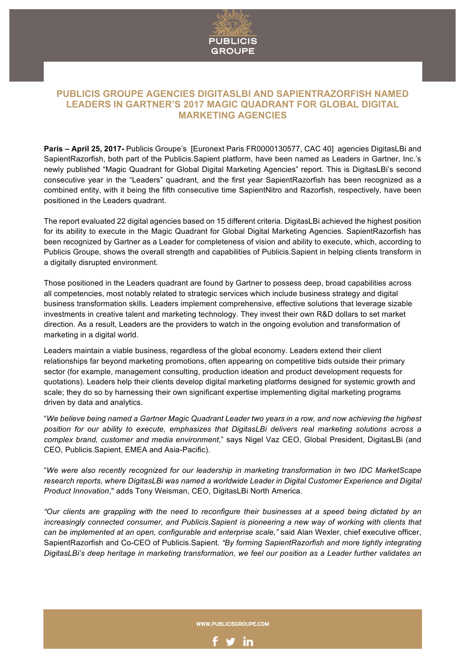

# **PUBLICIS GROUPE AGENCIES DIGITASLBI AND SAPIENTRAZORFISH NAMED LEADERS IN GARTNER'S 2017 MAGIC QUADRANT FOR GLOBAL DIGITAL MARKETING AGENCIES**

**Paris – April 25, 2017-** Publicis Groupe's [Euronext Paris FR0000130577, CAC 40] agencies DigitasLBi and SapientRazorfish, both part of the Publicis.Sapient platform, have been named as Leaders in Gartner, Inc.'s newly published "Magic Quadrant for Global Digital Marketing Agencies" report. This is DigitasLBi's second consecutive year in the "Leaders" quadrant, and the first year SapientRazorfish has been recognized as a combined entity, with it being the fifth consecutive time SapientNitro and Razorfish, respectively, have been positioned in the Leaders quadrant.

The report evaluated 22 digital agencies based on 15 different criteria. DigitasLBi achieved the highest position for its ability to execute in the Magic Quadrant for Global Digital Marketing Agencies. SapientRazorfish has been recognized by Gartner as a Leader for completeness of vision and ability to execute, which, according to Publicis Groupe, shows the overall strength and capabilities of Publicis.Sapient in helping clients transform in a digitally disrupted environment.

Those positioned in the Leaders quadrant are found by Gartner to possess deep, broad capabilities across all competencies, most notably related to strategic services which include business strategy and digital business transformation skills. Leaders implement comprehensive, effective solutions that leverage sizable investments in creative talent and marketing technology. They invest their own R&D dollars to set market direction. As a result, Leaders are the providers to watch in the ongoing evolution and transformation of marketing in a digital world.

Leaders maintain a viable business, regardless of the global economy. Leaders extend their client relationships far beyond marketing promotions, often appearing on competitive bids outside their primary sector (for example, management consulting, production ideation and product development requests for quotations). Leaders help their clients develop digital marketing platforms designed for systemic growth and scale; they do so by harnessing their own significant expertise implementing digital marketing programs driven by data and analytics.

"*We believe being named a Gartner Magic Quadrant Leader two years in a row, and now achieving the highest position for our ability to execute, emphasizes that DigitasLBi delivers real marketing solutions across a complex brand, customer and media environment*," says Nigel Vaz CEO, Global President, DigitasLBi (and CEO, Publicis.Sapient, EMEA and Asia-Pacific).

"*We were also recently recognized for our leadership in marketing transformation in two IDC MarketScape research reports, where DigitasLBi was named a worldwide Leader in Digital Customer Experience and Digital Product Innovation*," adds Tony Weisman, CEO, DigitasLBi North America.

*"Our clients are grappling with the need to reconfigure their businesses at a speed being dictated by an increasingly connected consumer, and Publicis.Sapient is pioneering a new way of working with clients that can be implemented at an open, configurable and enterprise scale,"* said Alan Wexler, chief executive officer, SapientRazorfish and Co-CEO of Publicis.Sapient*. "By forming SapientRazorfish and more tightly integrating DigitasLBi's deep heritage in marketing transformation, we feel our position as a Leader further validates an* 

WWW.PUBLICISGROUPE.COM

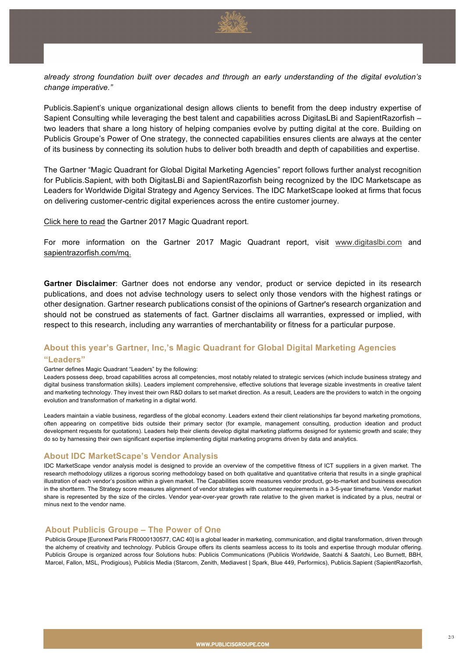

*already strong foundation built over decades and through an early understanding of the digital evolution's change imperative."*

Publicis.Sapient's unique organizational design allows clients to benefit from the deep industry expertise of Sapient Consulting while leveraging the best talent and capabilities across DigitasLBi and SapientRazorfish – two leaders that share a long history of helping companies evolve by putting digital at the core. Building on Publicis Groupe's Power of One strategy, the connected capabilities ensures clients are always at the center of its business by connecting its solution hubs to deliver both breadth and depth of capabilities and expertise.

The Gartner "Magic Quadrant for Global Digital Marketing Agencies" report follows further analyst recognition for Publicis.Sapient, with both DigitasLBi and SapientRazorfish being recognized by the IDC Marketscape as Leaders for Worldwide Digital Strategy and Agency Services. The IDC MarketScape looked at firms that focus on delivering customer-centric digital experiences across the entire customer journey.

Click here to read the Gartner 2017 Magic Quadrant report.

For more information on the Gartner 2017 Magic Quadrant report, visit www.digitaslbi.com and sapientrazorfish.com/mq.

**Gartner Disclaimer**: Gartner does not endorse any vendor, product or service depicted in its research publications, and does not advise technology users to select only those vendors with the highest ratings or other designation. Gartner research publications consist of the opinions of Gartner's research organization and should not be construed as statements of fact. Gartner disclaims all warranties, expressed or implied, with respect to this research, including any warranties of merchantability or fitness for a particular purpose.

# **About this year's Gartner, Inc,'s Magic Quadrant for Global Digital Marketing Agencies "Leaders"**

#### Gartner defines Magic Quadrant "Leaders" by the following:

Leaders possess deep, broad capabilities across all competencies, most notably related to strategic services (which include business strategy and digital business transformation skills). Leaders implement comprehensive, effective solutions that leverage sizable investments in creative talent and marketing technology. They invest their own R&D dollars to set market direction. As a result, Leaders are the providers to watch in the ongoing evolution and transformation of marketing in a digital world.

Leaders maintain a viable business, regardless of the global economy. Leaders extend their client relationships far beyond marketing promotions, often appearing on competitive bids outside their primary sector (for example, management consulting, production ideation and product development requests for quotations). Leaders help their clients develop digital marketing platforms designed for systemic growth and scale; they do so by harnessing their own significant expertise implementing digital marketing programs driven by data and analytics.

# **About IDC MarketScape's Vendor Analysis**

IDC MarketScape vendor analysis model is designed to provide an overview of the competitive fitness of ICT suppliers in a given market. The research methodology utilizes a rigorous scoring methodology based on both qualitative and quantitative criteria that results in a single graphical illustration of each vendor's position within a given market. The Capabilities score measures vendor product, go-to-market and business execution in the shortterm. The Strategy score measures alignment of vendor strategies with customer requirements in a 3-5-year timeframe. Vendor market share is represented by the size of the circles. Vendor year-over-year growth rate relative to the given market is indicated by a plus, neutral or minus next to the vendor name.

### **About Publicis Groupe – The Power of One**

Publicis Groupe [Euronext Paris FR0000130577, CAC 40] is a global leader in marketing, communication, and digital transformation, driven through the alchemy of creativity and technology. Publicis Groupe offers its clients seamless access to its tools and expertise through modular offering. Publicis Groupe is organized across four Solutions hubs: Publicis Communications (Publicis Worldwide, Saatchi & Saatchi, Leo Burnett, BBH, Marcel, Fallon, MSL, Prodigious), Publicis Media (Starcom, Zenith, Mediavest | Spark, Blue 449, Performics), Publicis.Sapient (SapientRazorfish,